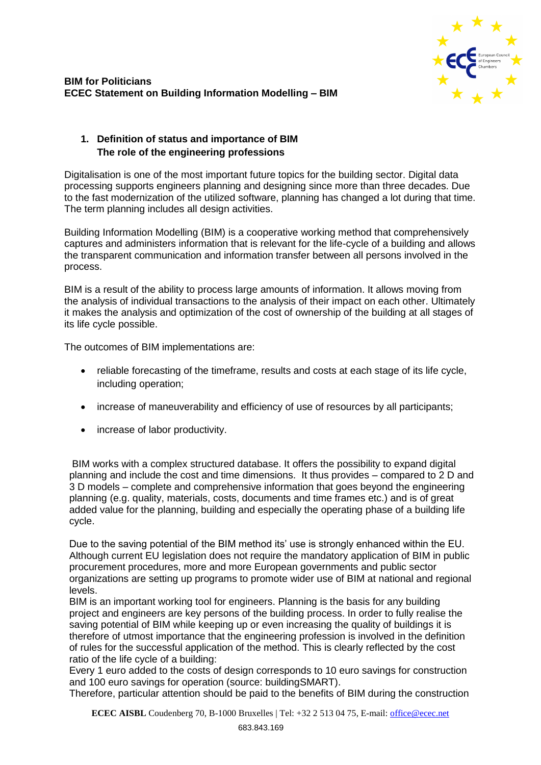

## **BIM for Politicians ECEC Statement on Building Information Modelling – BIM**

# **1. Definition of status and importance of BIM The role of the engineering professions**

Digitalisation is one of the most important future topics for the building sector. Digital data processing supports engineers planning and designing since more than three decades. Due to the fast modernization of the utilized software, planning has changed a lot during that time. The term planning includes all design activities.

Building Information Modelling (BIM) is a cooperative working method that comprehensively captures and administers information that is relevant for the life-cycle of a building and allows the transparent communication and information transfer between all persons involved in the process.

BIM is a result of the ability to process large amounts of information. It allows moving from the analysis of individual transactions to the analysis of their impact on each other. Ultimately it makes the analysis and optimization of the cost of ownership of the building at all stages of its life cycle possible.

The outcomes of BIM implementations are:

- reliable forecasting of the timeframe, results and costs at each stage of its life cycle, including operation;
- increase of maneuverability and efficiency of use of resources by all participants;
- increase of labor productivity.

BIM works with a complex structured database. It offers the possibility to expand digital planning and include the cost and time dimensions. It thus provides – compared to 2 D and 3 D models – complete and comprehensive information that goes beyond the engineering planning (e.g. quality, materials, costs, documents and time frames etc.) and is of great added value for the planning, building and especially the operating phase of a building life cycle.

Due to the saving potential of the BIM method its' use is strongly enhanced within the EU. Although current EU legislation does not require the mandatory application of BIM in public procurement procedures, more and more European governments and public sector organizations are setting up programs to promote wider use of BIM at national and regional levels.

BIM is an important working tool for engineers. Planning is the basis for any building project and engineers are key persons of the building process. In order to fully realise the saving potential of BIM while keeping up or even increasing the quality of buildings it is therefore of utmost importance that the engineering profession is involved in the definition of rules for the successful application of the method. This is clearly reflected by the cost ratio of the life cycle of a building:

Every 1 euro added to the costs of design corresponds to 10 euro savings for construction and 100 euro savings for operation (source: buildingSMART).

Therefore, particular attention should be paid to the benefits of BIM during the construction

**ECEC AISBL** Coudenberg 70, B-1000 Bruxelles | Tel: +32 2 513 04 75, E-mail: [office@ecec.net](mailto:office@ecec.net)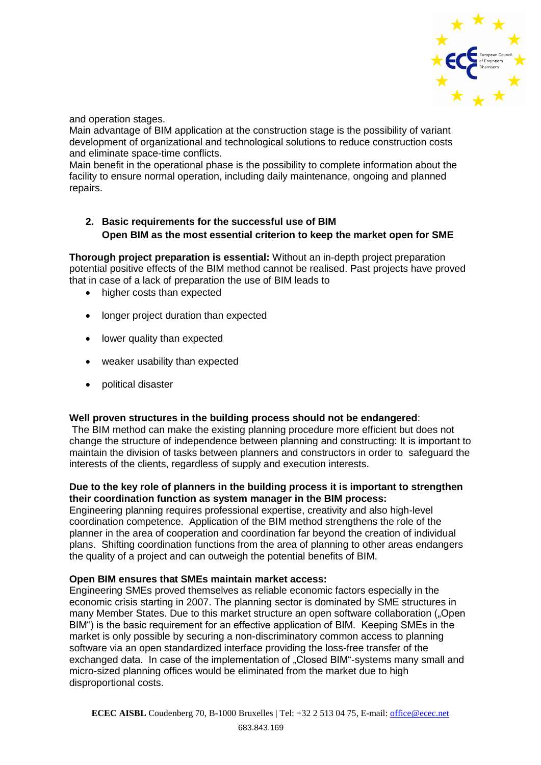

and operation stages.

Main advantage of BIM application at the construction stage is the possibility of variant development of organizational and technological solutions to reduce construction costs and eliminate space-time conflicts.

Main benefit in the operational phase is the possibility to complete information about the facility to ensure normal operation, including daily maintenance, ongoing and planned repairs.

# **2. Basic requirements for the successful use of BIM Open BIM as the most essential criterion to keep the market open for SME**

**Thorough project preparation is essential:** Without an in-depth project preparation potential positive effects of the BIM method cannot be realised. Past projects have proved that in case of a lack of preparation the use of BIM leads to

- higher costs than expected
- longer project duration than expected
- lower quality than expected
- weaker usability than expected
- political disaster

#### **Well proven structures in the building process should not be endangered**:

The BIM method can make the existing planning procedure more efficient but does not change the structure of independence between planning and constructing: It is important to maintain the division of tasks between planners and constructors in order to safeguard the interests of the clients, regardless of supply and execution interests.

#### **Due to the key role of planners in the building process it is important to strengthen their coordination function as system manager in the BIM process:**

Engineering planning requires professional expertise, creativity and also high-level coordination competence. Application of the BIM method strengthens the role of the planner in the area of cooperation and coordination far beyond the creation of individual plans. Shifting coordination functions from the area of planning to other areas endangers the quality of a project and can outweigh the potential benefits of BIM.

#### **Open BIM ensures that SMEs maintain market access:**

Engineering SMEs proved themselves as reliable economic factors especially in the economic crisis starting in 2007. The planning sector is dominated by SME structures in many Member States. Due to this market structure an open software collaboration ("Open BIM") is the basic requirement for an effective application of BIM. Keeping SMEs in the market is only possible by securing a non-discriminatory common access to planning software via an open standardized interface providing the loss-free transfer of the exchanged data. In case of the implementation of "Closed BIM"-systems many small and micro-sized planning offices would be eliminated from the market due to high disproportional costs.